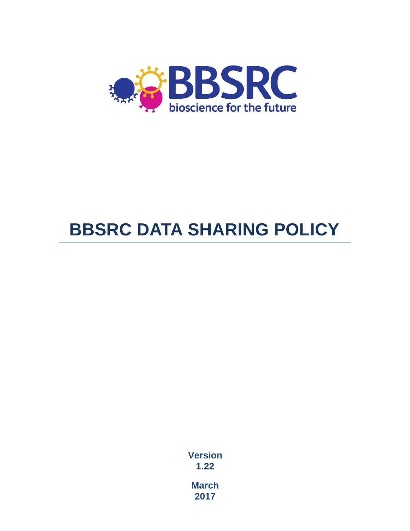

# **BBSRC DATA SHARING POLICY**

**Version 1.22**

**March 2017**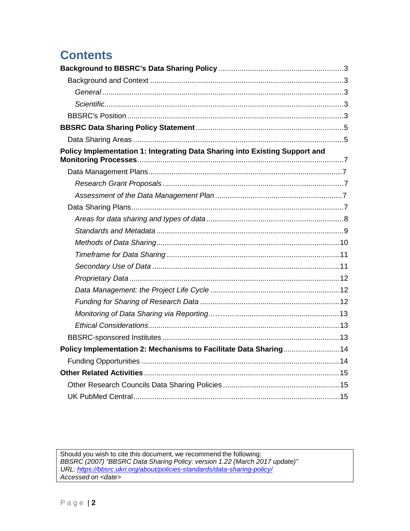# **Contents**

| Science <sub>3</sub>                                                        |  |
|-----------------------------------------------------------------------------|--|
|                                                                             |  |
|                                                                             |  |
|                                                                             |  |
| Policy Implementation 1: Integrating Data Sharing into Existing Support and |  |
|                                                                             |  |
|                                                                             |  |
|                                                                             |  |
|                                                                             |  |
|                                                                             |  |
|                                                                             |  |
|                                                                             |  |
|                                                                             |  |
|                                                                             |  |
|                                                                             |  |
|                                                                             |  |
|                                                                             |  |
|                                                                             |  |
|                                                                             |  |
|                                                                             |  |
| Policy Implementation 2: Mechanisms to Facilitate Data Sharing 14           |  |
|                                                                             |  |
|                                                                             |  |
|                                                                             |  |
|                                                                             |  |

Should you wish to cite this document, we recommend the following:<br>BBSRC (2007) "BBSRC Data Sharing Policy: version 1.22 (March 2017 update)"<br>URL: https://bbsrc.ukri.org/about/policies-standards/data-sharing-policy/<br>Access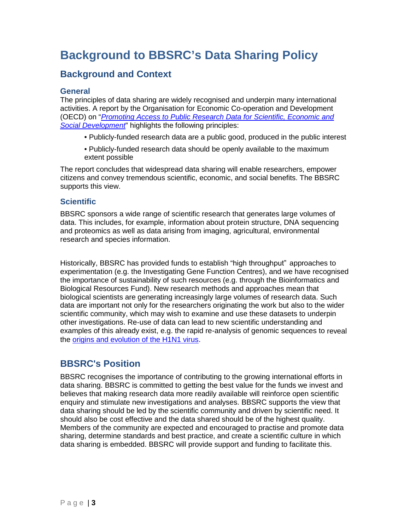# **Background to BBSRC's Data Sharing Policy**

# **Background and Context**

#### **General**

The principles of data sharing are widely recognised and underpin many international activities. A report by the Organisation for Economic Co-operation and Development (OECD) on "*[Promoting Access](http://www.oecd.org/dataoecd/9/61/38500813.pdf) to Public Research Data for Scientific, Economic and [Social Development](http://www.oecd.org/dataoecd/9/61/38500813.pdf)*" highlights the following principles:

- Publicly-funded research data are a public good, produced in the public interest
- Publicly-funded research data should be openly available to the maximum extent possible

The report concludes that widespread data sharing will enable researchers, empower citizens and convey tremendous scientific, economic, and social benefits. The BBSRC supports this view.

#### **Scientific**

BBSRC sponsors a wide range of scientific research that generates large volumes of data. This includes, for example, information about protein structure, DNA sequencing and proteomics as well as data arising from imaging, agricultural, environmental research and species information.

Historically, BBSRC has provided funds to establish "high throughput" approaches to experimentation (e.g. the Investigating Gene Function Centres), and we have recognised the importance of sustainability of such resources (e.g. through the Bioinformatics and Biological Resources Fund). New research methods and approaches mean that biological scientists are generating increasingly large volumes of research data. Such data are important not only for the researchers originating the work but also to the wider scientific community, which may wish to examine and use these datasets to underpin other investigations. Re-use of data can lead to new scientific understanding and examples of this already exist, e.g. the rapid re-analysis of genomic sequences to reveal the origins and evolution of the [H1N1 virus.](http://www.nature.com/nature/journal/v459/n7250/full/nature08182.html)

### **BBSRC's Position**

BBSRC recognises the importance of contributing to the growing international efforts in data sharing. BBSRC is committed to getting the best value for the funds we invest and believes that making research data more readily available will reinforce open scientific enquiry and stimulate new investigations and analyses. BBSRC supports the view that data sharing should be led by the scientific community and driven by scientific need. It should also be cost effective and the data shared should be of the highest quality. Members of the community are expected and encouraged to practise and promote data sharing, determine standards and best practice, and create a scientific culture in which data sharing is embedded. BBSRC will provide support and funding to facilitate this.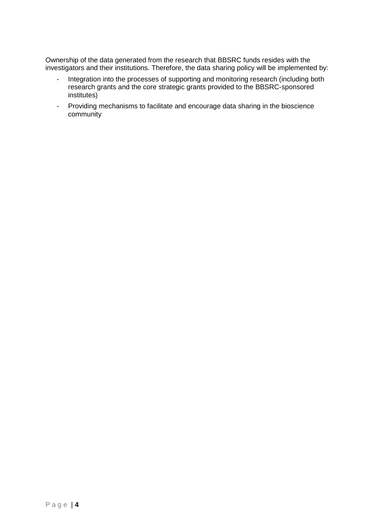Ownership of the data generated from the research that BBSRC funds resides with the investigators and their institutions. Therefore, the data sharing policy will be implemented by:

- Integration into the processes of supporting and monitoring research (including both research grants and the core strategic grants provided to the BBSRC-sponsored institutes)
- Providing mechanisms to facilitate and encourage data sharing in the bioscience community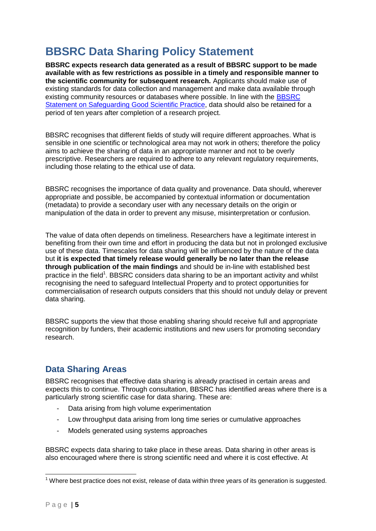# **BBSRC Data Sharing Policy Statement**

**BBSRC expects research data generated as a result of BBSRC support to be made available with as few restrictions as possible in a timely and responsible manner to the scientific community for subsequent research.** Applicants should make use of existing standards for data collection and management and make data available through existing community resources or databases where possible. In line with the [BBSRC](http://www.bbsrc.ac.uk/web/FILES/Policies/good_scientific_practice.pdf) [Statement on Safeguarding Good](https://bbsrc.ukri.org/about/policies-standards/good-scientific-practice/) Scientific Practice, data should also be retained for a period of ten years after completion of a research project.

BBSRC recognises that different fields of study will require different approaches. What is sensible in one scientific or technological area may not work in others; therefore the policy aims to achieve the sharing of data in an appropriate manner and not to be overly prescriptive. Researchers are required to adhere to any relevant regulatory requirements, including those relating to the ethical use of data.

BBSRC recognises the importance of data quality and provenance. Data should, wherever appropriate and possible, be accompanied by contextual information or documentation (metadata) to provide a secondary user with any necessary details on the origin or manipulation of the data in order to prevent any misuse, misinterpretation or confusion.

The value of data often depends on timeliness. Researchers have a legitimate interest in benefiting from their own time and effort in producing the data but not in prolonged exclusive use of these data. Timescales for data sharing will be influenced by the nature of the data but **it is expected that timely release would generally be no later than the release through publication of the main findings** and should be in-line with established best practice in the field<sup>1</sup>. BBSRC considers data sharing to be an important activity and whilst recognising the need to safeguard Intellectual Property and to protect opportunities for commercialisation of research outputs considers that this should not unduly delay or prevent data sharing.

BBSRC supports the view that those enabling sharing should receive full and appropriate recognition by funders, their academic institutions and new users for promoting secondary research.

# **Data Sharing Areas**

BBSRC recognises that effective data sharing is already practised in certain areas and expects this to continue. Through consultation, BBSRC has identified areas where there is a particularly strong scientific case for data sharing. These are:

- Data arising from high volume experimentation
- Low throughput data arising from long time series or cumulative approaches
- Models generated using systems approaches

BBSRC expects data sharing to take place in these areas. Data sharing in other areas is also encouraged where there is strong scientific need and where it is cost effective. At

 $1$  Where best practice does not exist, release of data within three years of its generation is suggested.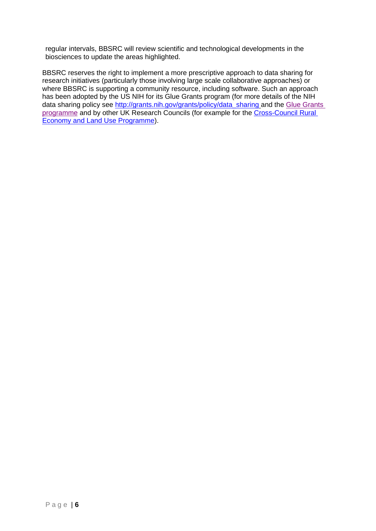regular intervals, BBSRC will review scientific and technological developments in the biosciences to update the areas highlighted.

BBSRC reserves the right to implement a more prescriptive approach to data sharing for research initiatives (particularly those involving large scale collaborative approaches) or where BBSRC is supporting a community resource, including software. Such an approach has been adopted by the US NIH for its Glue Grants program (for more details of the NIH data sharing policy see [http://grants.nih.gov/grants/policy/data\\_sharing](http://grants.nih.gov/grants/policy/data_sharing) and the Glue Grants [programme](https://www.nigms.nih.gov/Research/specificareas/collaborative/gluegrants/) and by other UK Research Councils (for example for the [Cross-Council Rural](http://www.relu.ac.uk/)  [Economy and Land Use Programme\)](http://www.relu.ac.uk/).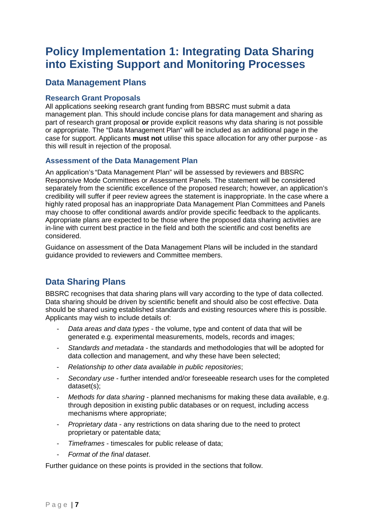# **Policy Implementation 1: Integrating Data Sharing into Existing Support and Monitoring Processes**

## **Data Management Plans**

#### **Research Grant Proposals**

All applications seeking research grant funding from BBSRC must submit a data management plan. This should include concise plans for data management and sharing as part of research grant proposal **or** provide explicit reasons why data sharing is not possible or appropriate. The "Data Management Plan" will be included as an additional page in the case for support. Applicants **must not** utilise this space allocation for any other purpose - as this will result in rejection of the proposal.

#### **Assessment of the Data Management Plan**

An application's "Data Management Plan" will be assessed by reviewers and BBSRC Responsive Mode Committees or Assessment Panels. The statement will be considered separately from the scientific excellence of the proposed research; however, an application's credibility will suffer if peer review agrees the statement is inappropriate. In the case where a highly rated proposal has an inappropriate Data Management Plan Committees and Panels may choose to offer conditional awards and/or provide specific feedback to the applicants. Appropriate plans are expected to be those where the proposed data sharing activities are in-line with current best practice in the field and both the scientific and cost benefits are considered.

Guidance on assessment of the Data Management Plans will be included in the standard guidance provided to reviewers and Committee members.

# **Data Sharing Plans**

BBSRC recognises that data sharing plans will vary according to the type of data collected. Data sharing should be driven by scientific benefit and should also be cost effective. Data should be shared using established standards and existing resources where this is possible. Applicants may wish to include details of:

- *Data areas and data types* the volume, type and content of data that will be generated e.g. experimental measurements, models, records and images;
- *Standards and metadata*  the standards and methodologies that will be adopted for data collection and management, and why these have been selected;
- *Relationship to other data available in public repositories*;
- *Secondary use* further intended and/or foreseeable research uses for the completed dataset(s);
- *Methods for data sharing*  planned mechanisms for making these data available, e.g. through deposition in existing public databases or on request, including access mechanisms where appropriate;
- *Proprietary data* any restrictions on data sharing due to the need to protect proprietary or patentable data;
- *Timeframes* timescales for public release of data;
- *Format of the final dataset*.

Further guidance on these points is provided in the sections that follow.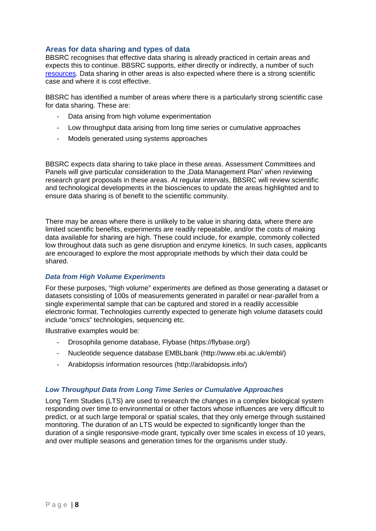#### **Areas for data sharing and types of data**

BBSRC recognises that effective data sharing is already practiced in certain areas and expects this to continue. BBSRC supports, either directly or indirectly, a number of such [resources.](https://bbsrc.ukri.org/research/resources/) Data sharing in other areas is also expected where there is a strong scientific case and where it is cost effective.

BBSRC has identified a number of areas where there is a particularly strong scientific case for data sharing. These are:

- Data arising from high volume experimentation
- Low throughput data arising from long time series or cumulative approaches
- Models generated using systems approaches

BBSRC expects data sharing to take place in these areas. Assessment Committees and Panels will give particular consideration to the "Data Management Plan" when reviewing research grant proposals in these areas. At regular intervals, BBSRC will review scientific and technological developments in the biosciences to update the areas highlighted and to ensure data sharing is of benefit to the scientific community.

There may be areas where there is unlikely to be value in sharing data, where there are limited scientific benefits, experiments are readily repeatable, and/or the costs of making data available for sharing are high. These could include, for example, commonly collected low throughout data such as gene disruption and enzyme kinetics. In such cases, applicants are encouraged to explore the most appropriate methods by which their data could be shared.

#### *Data from High Volume Experiments*

For these purposes, "high volume" experiments are defined as those generating a dataset or datasets consisting of 100s of measurements generated in parallel or near-parallel from a single experimental sample that can be captured and stored in a readily accessible electronic format. Technologies currently expected to generate high volume datasets could include "omics" technologies, sequencing etc.

Illustrative examples would be*:*

- Drosophila genome database, Flybase [\(https://flybase.org/\)](https://flybase.org/)
- Nucleotide sequence database EMBLbank [\(http://www.ebi.ac.uk/embl/\)](http://www.ebi.ac.uk/embl/))
- Arabidopsis information resources [\(http://arabidopsis.info/\)](http://arabidopsis.info/)

#### *Low Throughput Data from Long Time Series or Cumulative Approaches*

Long Term Studies (LTS) are used to research the changes in a complex biological system responding over time to environmental or other factors whose influences are very difficult to predict, or at such large temporal or spatial scales, that they only emerge through sustained monitoring. The duration of an LTS would be expected to significantly longer than the duration of a single responsive-mode grant, typically over time scales in excess of 10 years, and over multiple seasons and generation times for the organisms under study.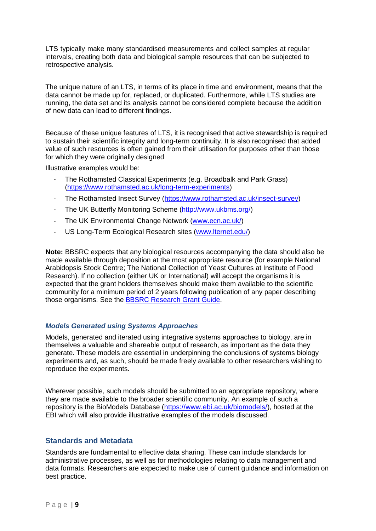LTS typically make many standardised measurements and collect samples at regular intervals, creating both data and biological sample resources that can be subjected to retrospective analysis.

The unique nature of an LTS, in terms of its place in time and environment, means that the data cannot be made up for, replaced, or duplicated. Furthermore, while LTS studies are running, the data set and its analysis cannot be considered complete because the addition of new data can lead to different findings.

Because of these unique features of LTS, it is recognised that active stewardship is required to sustain their scientific integrity and long-term continuity. It is also recognised that added value of such resources is often gained from their utilisation for purposes other than those for which they were originally designed

Illustrative examples would be:

- The Rothamsted Classical Experiments (e.g. Broadbalk and Park Grass) [\(https://www.rothamsted.ac.uk/long-term-experiments\)](https://www.rothamsted.ac.uk/long-term-experiments)
- The Rothamsted Insect Survey [\(https://www.rothamsted.ac.uk/insect-survey\)](https://www.rothamsted.ac.uk/insect-survey)
- The UK Butterfly Monitoring Scheme [\(http://www.ukbms.org/\)](http://www.ukbms.org/)
- The UK Environmental Change Network [\(www.ecn.ac.uk/\)](http://www.ecn.ac.uk/)
- US Long-Term Ecological Research sites [\(www.lternet.edu/\)](http://www.lternet.edu/)

**Note:** BBSRC expects that any biological resources accompanying the data should also be made available through deposition at the most appropriate resource (for example National Arabidopsis Stock Centre; The National Collection of Yeast Cultures at Institute of Food Research). If no collection (either UK or International) will accept the organisms it is expected that the grant holders themselves should make them available to the scientific community for a minimum period of 2 years following publication of any paper describing those organisms. See the [BBSRC Research](https://bbsrc.ukri.org/funding/apply/) Grant Guide.

#### *Models Generated using Systems Approaches*

Models, generated and iterated using integrative systems approaches to biology, are in themselves a valuable and shareable output of research, as important as the data they generate. These models are essential in underpinning the conclusions of systems biology experiments and, as such, should be made freely available to other researchers wishing to reproduce the experiments.

Wherever possible, such models should be submitted to an appropriate repository, where they are made available to the broader scientific community. An example of such a repository is the BioModels Database [\(https://www.ebi.ac.uk/biomodels/\)](https://www.ebi.ac.uk/biomodels/), hosted at the EBI which will also provide illustrative examples of the models discussed.

#### **Standards and Metadata**

Standards are fundamental to effective data sharing. These can include standards for administrative processes, as well as for methodologies relating to data management and data formats. Researchers are expected to make use of current guidance and information on best practice.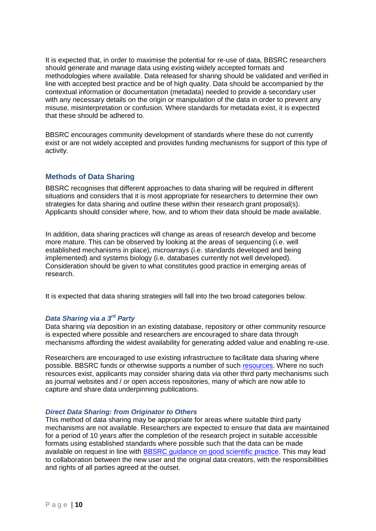It is expected that, in order to maximise the potential for re-use of data, BBSRC researchers should generate and manage data using existing widely accepted formats and methodologies where available. Data released for sharing should be validated and verified in line with accepted best practice and be of high quality. Data should be accompanied by the contextual information or documentation (metadata) needed to provide a secondary user with any necessary details on the origin or manipulation of the data in order to prevent any misuse, misinterpretation or confusion. Where standards for metadata exist, it is expected that these should be adhered to.

BBSRC encourages community development of standards where these do not currently exist or are not widely accepted and provides funding mechanisms for support of this type of activity.

#### **Methods of Data Sharing**

BBSRC recognises that different approaches to data sharing will be required in different situations and considers that it is most appropriate for researchers to determine their own strategies for data sharing and outline these within their research grant proposal(s). Applicants should consider where, how, and to whom their data should be made available.

In addition, data sharing practices will change as areas of research develop and become more mature. This can be observed by looking at the areas of sequencing (i.e. well established mechanisms in place), microarrays (i.e. standards developed and being implemented) and systems biology (i.e. databases currently not well developed). Consideration should be given to what constitutes good practice in emerging areas of research.

It is expected that data sharing strategies will fall into the two broad categories below.

#### *Data Sharing* **via** *a 3rd Party*

Data sharing *via* deposition in an existing database, repository or other community resource is expected where possible and researchers are encouraged to share data through mechanisms affording the widest availability for generating added value and enabling re-use.

Researchers are encouraged to use existing infrastructure to facilitate data sharing where possible. BBSRC funds or otherwise supports a number of such [resources.](https://bbsrc.ukri.org/research/resources/) Where no such resources exist, applicants may consider sharing data *via* other third party mechanisms such as journal websites and / or open access repositories, many of which are now able to capture and share data underpinning publications.

#### *Direct Data Sharing: from Originator to Others*

This method of data sharing may be appropriate for areas where suitable third party mechanisms are not available. Researchers are expected to ensure that data are maintained for a period of 10 years after the completion of the research project in suitable accessible formats using established standards where possible such that the data can be made available on request in line with [BBSRC guidance](https://bbsrc.ukri.org/about/policies-standards/good-scientific-practice/) on good scientific practice. This may lead to collaboration between the new user and the original data creators, with the responsibilities and rights of all parties agreed at the outset.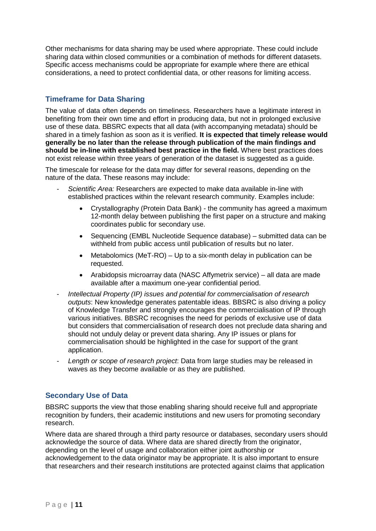Other mechanisms for data sharing may be used where appropriate. These could include sharing data within closed communities or a combination of methods for different datasets. Specific access mechanisms could be appropriate for example where there are ethical considerations, a need to protect confidential data, or other reasons for limiting access.

### **Timeframe for Data Sharing**

The value of data often depends on timeliness. Researchers have a legitimate interest in benefiting from their own time and effort in producing data, but not in prolonged exclusive use of these data. BBSRC expects that all data (with accompanying metadata) should be shared in a timely fashion as soon as it is verified. **It is expected that timely release would generally be no later than the release through publication of the main findings and should be in-line with established best practice in the field.** Where best practices does not exist release within three years of generation of the dataset is suggested as a guide.

The timescale for release for the data may differ for several reasons, depending on the nature of the data. These reasons may include:

- *Scientific Area:* Researchers are expected to make data available in-line with established practices within the relevant research community. Examples include:
	- Crystallography (Protein Data Bank) the community has agreed a maximum 12-month delay between publishing the first paper on a structure and making coordinates public for secondary use.
	- Sequencing (EMBL Nucleotide Sequence database) submitted data can be withheld from public access until publication of results but no later.
	- Metabolomics (MeT-RO) Up to a six-month delay in publication can be requested.
	- Arabidopsis microarray data (NASC Affymetrix service) all data are made available after a maximum one-year confidential period.
- *Intellectual Property (IP) issues and potential for commercialisation of research outputs*: New knowledge generates patentable ideas. BBSRC is also driving a policy of Knowledge Transfer and strongly encourages the commercialisation of IP through various initiatives. BBSRC recognises the need for periods of exclusive use of data but considers that commercialisation of research does not preclude data sharing and should not unduly delay or prevent data sharing. Any IP issues or plans for commercialisation should be highlighted in the case for support of the grant application.
- *Length or scope of research project*: Data from large studies may be released in waves as they become available or as they are published.

#### **Secondary Use of Data**

BBSRC supports the view that those enabling sharing should receive full and appropriate recognition by funders, their academic institutions and new users for promoting secondary research.

Where data are shared through a third party resource or databases, secondary users should acknowledge the source of data. Where data are shared directly from the originator, depending on the level of usage and collaboration either joint authorship or acknowledgement to the data originator may be appropriate. It is also important to ensure that researchers and their research institutions are protected against claims that application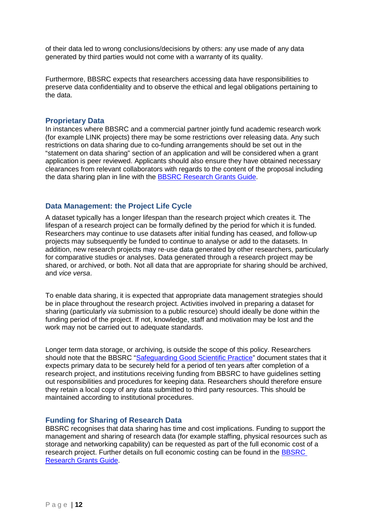of their data led to wrong conclusions/decisions by others: any use made of any data generated by third parties would not come with a warranty of its quality.

Furthermore, BBSRC expects that researchers accessing data have responsibilities to preserve data confidentiality and to observe the ethical and legal obligations pertaining to the data.

#### **Proprietary Data**

In instances where BBSRC and a commercial partner jointly fund academic research work (for example LINK projects) there may be some restrictions over releasing data. Any such restrictions on data sharing due to co-funding arrangements should be set out in the "statement on data sharing" section of an application and will be considered when a grant application is peer reviewed. Applicants should also ensure they have obtained necessary clearances from relevant collaborators with regards to the content of the proposal including the data sharing plan in line with the [BBSRC Research](https://bbsrc.ukri.org/funding/apply/) Grants Guide.

#### **Data Management: the Project Life Cycle**

A dataset typically has a longer lifespan than the research project which creates it. The lifespan of a research project can be formally defined by the period for which it is funded. Researchers may continue to use datasets after initial funding has ceased, and follow-up projects may subsequently be funded to continue to analyse or add to the datasets. In addition, new research projects may re-use data generated by other researchers, particularly for comparative studies or analyses. Data generated through a research project may be shared, or archived, or both. Not all data that are appropriate for sharing should be archived, and *vice versa*.

To enable data sharing, it is expected that appropriate data management strategies should be in place throughout the research project. Activities involved in preparing a dataset for sharing (particularly *via* submission to a public resource) should ideally be done within the funding period of the project. If not, knowledge, staff and motivation may be lost and the work may not be carried out to adequate standards.

Longer term data storage, or archiving, is outside the scope of this policy. Researchers should note that the BBSRC "Safequarding Good Scientific Practice" document states that it expects primary data to be securely held for a period of ten years after completion of a research project, and institutions receiving funding from BBSRC to have guidelines setting out responsibilities and procedures for keeping data. Researchers should therefore ensure they retain a local copy of any data submitted to third party resources. This should be maintained according to institutional procedures.

#### **Funding for Sharing of Research Data**

BBSRC recognises that data sharing has time and cost implications. Funding to support the management and sharing of research data (for example staffing, physical resources such as storage and networking capability) can be requested as part of the full economic cost of a research project. Further details on full economic costing can be found in the [BBSRC](https://bbsrc.ukri.org/funding/apply/)  [Research](https://bbsrc.ukri.org/funding/apply/) Grants Guide.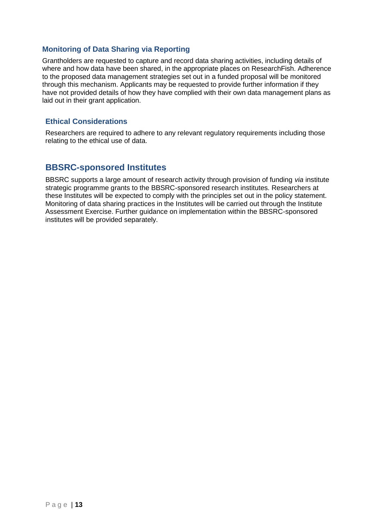#### **Monitoring of Data Sharing via Reporting**

Grantholders are requested to capture and record data sharing activities, including details of where and how data have been shared, in the appropriate places on ResearchFish. Adherence to the proposed data management strategies set out in a funded proposal will be monitored through this mechanism. Applicants may be requested to provide further information if they have not provided details of how they have complied with their own data management plans as laid out in their grant application.

#### **Ethical Considerations**

Researchers are required to adhere to any relevant regulatory requirements including those relating to the ethical use of data.

### **BBSRC-sponsored Institutes**

BBSRC supports a large amount of research activity through provision of funding *via* institute strategic programme grants to the BBSRC-sponsored research institutes. Researchers at these Institutes will be expected to comply with the principles set out in the policy statement. Monitoring of data sharing practices in the Institutes will be carried out through the Institute Assessment Exercise. Further guidance on implementation within the BBSRC-sponsored institutes will be provided separately.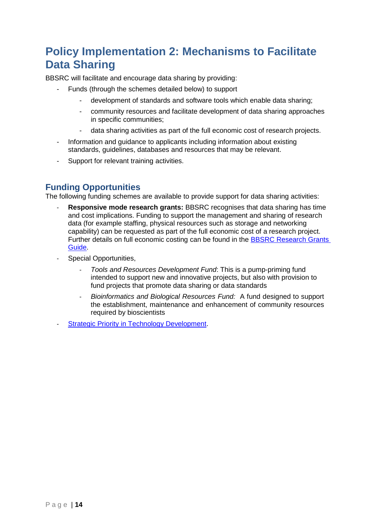# **Policy Implementation 2: Mechanisms to Facilitate Data Sharing**

BBSRC will facilitate and encourage data sharing by providing:

- Funds (through the schemes detailed below) to support
	- development of standards and software tools which enable data sharing;
	- community resources and facilitate development of data sharing approaches in specific communities;
		- data sharing activities as part of the full economic cost of research projects.
- Information and guidance to applicants including information about existing standards, guidelines, databases and resources that may be relevant.
- Support for relevant training activities.

## **Funding Opportunities**

The following funding schemes are available to provide support for data sharing activities:

- **Responsive mode research grants: BBSRC recognises that data sharing has time** and cost implications. Funding to support the management and sharing of research data (for example staffing, physical resources such as storage and networking capability) can be requested as part of the full economic cost of a research project. Further details on full economic costing can be found in the [BBSRC Research](https://bbsrc.ukri.org/funding/apply/) Grants [Guide.](https://bbsrc.ukri.org/funding/apply/)
- Special Opportunities,
	- *Tools and Resources Development Fund*: This is a pump-priming fund intended to support new and innovative projects, but also with provision to fund projects that promote data sharing or data standards
	- *Bioinformatics and Biological Resources Fund:* A fund designed to support the establishment, maintenance and enhancement of community resources required by bioscientists
- Strategic Priority in Technology [Development.](https://bbsrc.ukri.org/funding/grants/priorities/)